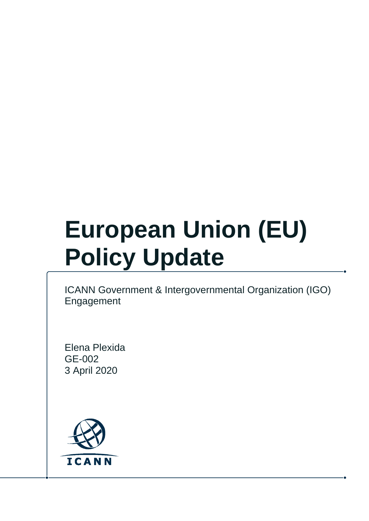# **European Union (EU) Policy Update**

ICANN Government & Intergovernmental Organization (IGO) Engagement

Elena Plexida GE-002 3 April 2020

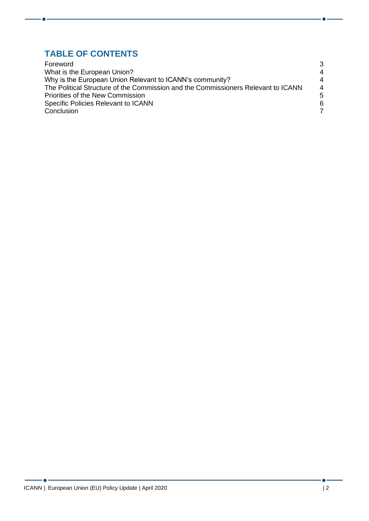#### **TABLE OF CONTENTS**

| Foreword                                                                          | 3                     |
|-----------------------------------------------------------------------------------|-----------------------|
| What is the European Union?                                                       | $\boldsymbol{\Delta}$ |
| Why is the European Union Relevant to ICANN's community?                          | $\boldsymbol{\Delta}$ |
| The Political Structure of the Commission and the Commissioners Relevant to ICANN | $\overline{4}$        |
| <b>Priorities of the New Commission</b>                                           | 5                     |
| Specific Policies Relevant to ICANN                                               | 6                     |
| Conclusion                                                                        | 7                     |

- 6 -

 $\bullet$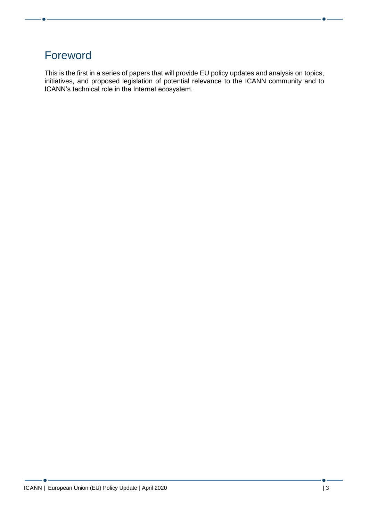# <span id="page-2-0"></span>Foreword

This is the first in a series of papers that will provide EU policy updates and analysis on topics, initiatives, and proposed legislation of potential relevance to the ICANN community and to ICANN's technical role in the Internet ecosystem.

 $\bullet$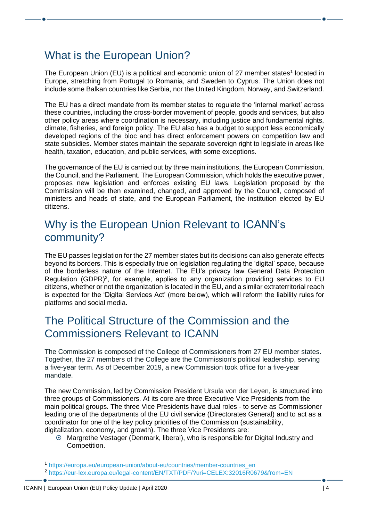# <span id="page-3-0"></span>What is the European Union?

The European Union (EU) is a political and economic union of 27 member states<sup>1</sup> located in Europe, stretching from Portugal to Romania, and Sweden to Cyprus. The Union does not include some Balkan countries like Serbia, nor the United Kingdom, Norway, and Switzerland.

The EU has a direct mandate from its member states to regulate the 'internal market' across these countries, including the cross-border movement of people, goods and services, but also other policy areas where coordination is necessary, including justice and fundamental rights, climate, fisheries, and foreign policy. The EU also has a budget to support less economically developed regions of the bloc and has direct enforcement powers on competition law and state subsidies. Member states maintain the separate sovereign right to legislate in areas like health, taxation, education, and public services, with some exceptions.

The governance of the EU is carried out by three main institutions, the European Commission, the Council, and the Parliament. The European Commission, which holds the executive power, proposes new legislation and enforces existing EU laws. Legislation proposed by the Commission will be then examined, changed, and approved by the Council, composed of ministers and heads of state, and the European Parliament, the institution elected by EU citizens.

## <span id="page-3-1"></span>Why is the European Union Relevant to ICANN's community?

The EU passes legislation for the 27 member states but its decisions can also generate effects beyond its borders. This is especially true on legislation regulating the 'digital' space, because of the borderless nature of the Internet. The EU's privacy law General Data Protection Regulation (GDPR)<sup>2</sup>, for example, applies to any organization providing services to EU citizens, whether or not the organization is located in the EU, and a similar extraterritorial reach is expected for the 'Digital Services Act' (more below), which will reform the liability rules for platforms and social media.

### <span id="page-3-2"></span>The Political Structure of the Commission and the Commissioners Relevant to ICANN

The Commission is composed of the College of Commissioners from 27 EU member states. Together, the 27 members of the College are the Commission's political leadership, serving a five-year term. As of December 2019, a new Commission took office for a five-year mandate.

The new Commission, led by Commission President Ursula von der Leyen, is structured into three groups of Commissioners. At its core are three Executive Vice Presidents from the main political groups. The three Vice Presidents have dual roles - to serve as Commissioner leading one of the departments of the EU civil service (Directorates General) and to act as a coordinator for one of the key policy priorities of the Commission (sustainability, digitalization, economy, and growth). The three Vice Presidents are:

 Margrethe Vestager (Denmark, liberal), who is responsible for Digital Industry and Competition.

<sup>1</sup> [https://europa.eu/european-union/about-eu/countries/member-countries\\_en](https://europa.eu/european-union/about-eu/countries/member-countries_en)

<sup>2</sup> <https://eur-lex.europa.eu/legal-content/EN/TXT/PDF/?uri=CELEX:32016R0679&from=EN>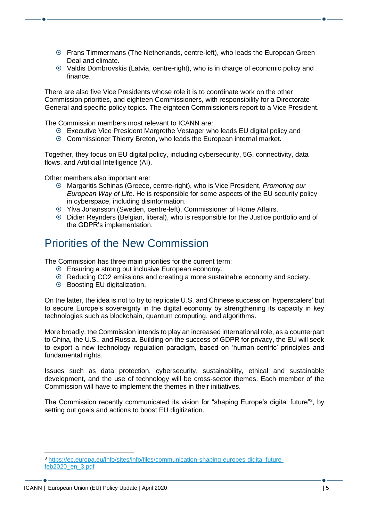- Frans Timmermans (The Netherlands, centre-left), who leads the European Green Deal and climate.
- Valdis Dombrovskis (Latvia, centre-right), who is in charge of economic policy and finance.

There are also five Vice Presidents whose role it is to coordinate work on the other Commission priorities, and eighteen Commissioners, with responsibility for a Directorate-General and specific policy topics. The eighteen Commissioners report to a Vice President.

The Commission members most relevant to ICANN are:

- Executive Vice President Margrethe Vestager who leads EU digital policy and
- Commissioner Thierry Breton, who leads the European internal market.

Together, they focus on EU digital policy, including cybersecurity, 5G, connectivity, data flows, and Artificial Intelligence (AI).

Other members also important are:

- Margaritis Schinas (Greece, centre-right), who is Vice President, *Promoting our European Way of Life*. He is responsible for some aspects of the EU security policy in cyberspace, including disinformation.
- Ylva Johansson (Sweden, centre-left), Commissioner of Home Affairs.
- Didier Reynders (Belgian, liberal), who is responsible for the Justice portfolio and of the GDPR's implementation.

## <span id="page-4-0"></span>Priorities of the New Commission

The Commission has three main priorities for the current term:

- Ensuring a strong but inclusive European economy.
- Reducing CO2 emissions and creating a more sustainable economy and society.
- Boosting EU digitalization.

On the latter, the idea is not to try to replicate U.S. and Chinese success on 'hyperscalers' but to secure Europe's sovereignty in the digital economy by strengthening its capacity in key technologies such as blockchain, quantum computing, and algorithms.

More broadly, the Commission intends to play an increased international role, as a counterpart to China, the U.S., and Russia. Building on the success of GDPR for privacy, the EU will seek to export a new technology regulation paradigm, based on 'human-centric' principles and fundamental rights.

Issues such as data protection, cybersecurity, sustainability, ethical and sustainable development, and the use of technology will be cross-sector themes. Each member of the Commission will have to implement the themes in their initiatives.

The Commission recently communicated its vision for "shaping Europe's digital future"<sup>3</sup>, by setting out goals and actions to boost EU digitization.

<sup>3</sup> [https://ec.europa.eu/info/sites/info/files/communication-shaping-europes-digital-future](https://ec.europa.eu/info/sites/info/files/communication-shaping-europes-digital-future-feb2020_en_3.pdf)[feb2020\\_en\\_3.pdf](https://ec.europa.eu/info/sites/info/files/communication-shaping-europes-digital-future-feb2020_en_3.pdf)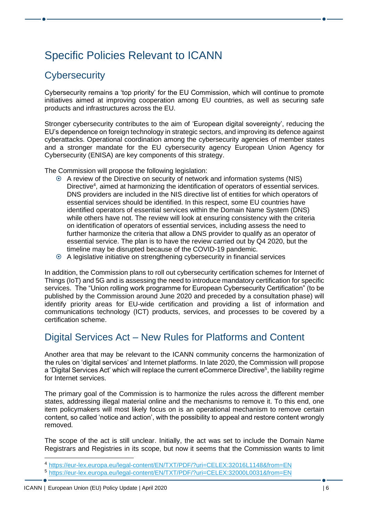# <span id="page-5-0"></span>Specific Policies Relevant to ICANN

#### **Cybersecurity**

Cybersecurity remains a 'top priority' for the EU Commission, which will continue to promote initiatives aimed at improving cooperation among EU countries, as well as securing safe products and infrastructures across the EU.

Stronger cybersecurity contributes to the aim of 'European digital sovereignty', reducing the EU's dependence on foreign technology in strategic sectors, and improving its defence against cyberattacks. Operational coordination among the cybersecurity agencies of member states and a stronger mandate for the EU cybersecurity agency European Union Agency for Cybersecurity (ENISA) are key components of this strategy.

The Commission will propose the following legislation:

- A review of the Directive on security of network and information systems (NIS) Directive<sup>4</sup>, aimed at harmonizing the identification of operators of essential services. DNS providers are included in the NIS directive list of entities for which operators of essential services should be identified. In this respect, some EU countries have identified operators of essential services within the Domain Name System (DNS) while others have not. The review will look at ensuring consistency with the criteria on identification of operators of essential services, including assess the need to further harmonize the criteria that allow a DNS provider to qualify as an operator of essential service. The plan is to have the review carried out by Q4 2020, but the timeline may be disrupted because of the COVID-19 pandemic.
- A legislative initiative on strengthening cybersecurity in financial services

In addition, the Commission plans to roll out cybersecurity certification schemes for Internet of Things (IoT) and 5G and is assessing the need to introduce mandatory certification for specific services. The "Union rolling work programme for European Cybersecurity Certification" (to be published by the Commission around June 2020 and preceded by a consultation phase) will identify priority areas for EU-wide certification and providing a list of information and communications technology (ICT) products, services, and processes to be covered by a certification scheme.

#### Digital Services Act – New Rules for Platforms and Content

Another area that may be relevant to the ICANN community concerns the harmonization of the rules on 'digital services' and Internet platforms. In late 2020, the Commission will propose a 'Digital Services Act' which will replace the current eCommerce Directive<sup>5</sup>, the liability regime for Internet services.

The primary goal of the Commission is to harmonize the rules across the different member states, addressing illegal material online and the mechanisms to remove it. To this end, one item policymakers will most likely focus on is an operational mechanism to remove certain content, so called 'notice and action', with the possibility to appeal and restore content wrongly removed.

The scope of the act is still unclear. Initially, the act was set to include the Domain Name Registrars and Registries in its scope, but now it seems that the Commission wants to limit

<sup>4</sup> <https://eur-lex.europa.eu/legal-content/EN/TXT/PDF/?uri=CELEX:32016L1148&from=EN>

<sup>5</sup> <https://eur-lex.europa.eu/legal-content/EN/TXT/PDF/?uri=CELEX:32000L0031&from=EN>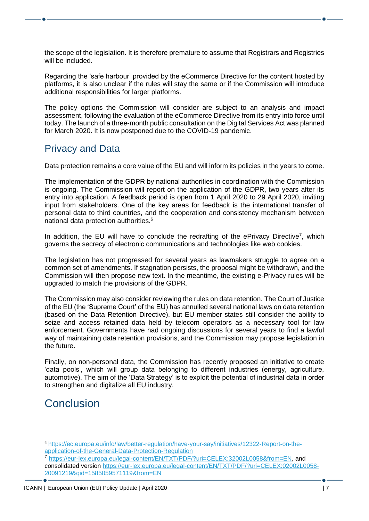the scope of the legislation. It is therefore premature to assume that Registrars and Registries will be included.

Regarding the 'safe harbour' provided by the eCommerce Directive for the content hosted by platforms, it is also unclear if the rules will stay the same or if the Commission will introduce additional responsibilities for larger platforms.

The policy options the Commission will consider are subject to an analysis and impact assessment, following the evaluation of the eCommerce Directive from its entry into force until today. The launch of a three-month public consultation on the Digital Services Act was planned for March 2020. It is now postponed due to the COVID-19 pandemic.

#### Privacy and Data

Data protection remains a core value of the EU and will inform its policies in the years to come.

The implementation of the GDPR by national authorities in coordination with the Commission is ongoing. The Commission will report on the application of the GDPR, two years after its entry into application. A feedback period is open from 1 April 2020 to 29 April 2020, inviting input from stakeholders. One of the key areas for feedback is the international transfer of personal data to third countries, and the cooperation and consistency mechanism between national data protection authorities.<sup>6</sup>

In addition, the EU will have to conclude the redrafting of the ePrivacy Directive<sup>7</sup>, which governs the secrecy of electronic communications and technologies like web cookies.

The legislation has not progressed for several years as lawmakers struggle to agree on a common set of amendments. If stagnation persists, the proposal might be withdrawn, and the Commission will then propose new text. In the meantime, the existing e-Privacy rules will be upgraded to match the provisions of the GDPR.

The Commission may also consider reviewing the rules on data retention. The Court of Justice of the EU (the 'Supreme Court' of the EU) has annulled several national laws on data retention (based on the Data Retention Directive), but EU member states still consider the ability to seize and access retained data held by telecom operators as a necessary tool for law enforcement. Governments have had ongoing discussions for several years to find a lawful way of maintaining data retention provisions, and the Commission may propose legislation in the future.

Finally, on non-personal data, the Commission has recently proposed an initiative to create 'data pools', which will group data belonging to different industries (energy, agriculture, automotive). The aim of the 'Data Strategy' is to exploit the potential of industrial data in order to strengthen and digitalize all EU industry.

# <span id="page-6-0"></span>**Conclusion**

<sup>6</sup> [https://ec.europa.eu/info/law/better-regulation/have-your-say/initiatives/12322-Report-on-the](https://ec.europa.eu/info/law/better-regulation/have-your-say/initiatives/12322-Report-on-the-application-of-the-General-Data-Protection-Regulation)[application-of-the-General-Data-Protection-Regulation](https://ec.europa.eu/info/law/better-regulation/have-your-say/initiatives/12322-Report-on-the-application-of-the-General-Data-Protection-Regulation)

<sup>7</sup> [https://eur-lex.europa.eu/legal-content/EN/TXT/PDF/?uri=CELEX:32002L0058&from=EN,](https://eur-lex.europa.eu/legal-content/EN/TXT/PDF/?uri=CELEX:32002L0058&from=EN) and consolidated version [https://eur-lex.europa.eu/legal-content/EN/TXT/PDF/?uri=CELEX:02002L0058-](https://eur-lex.europa.eu/legal-content/EN/TXT/PDF/?uri=CELEX:02002L0058-20091219&qid=1585059571119&from=EN) [20091219&qid=1585059571119&from=EN](https://eur-lex.europa.eu/legal-content/EN/TXT/PDF/?uri=CELEX:02002L0058-20091219&qid=1585059571119&from=EN)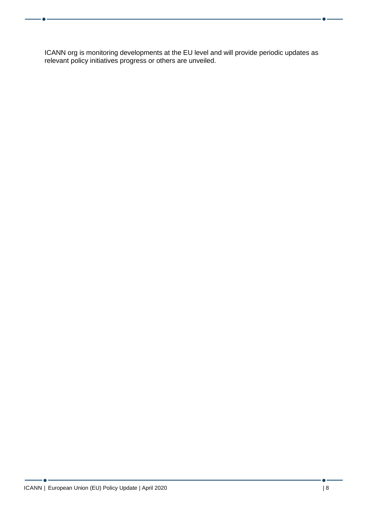ICANN org is monitoring developments at the EU level and will provide periodic updates as relevant policy initiatives progress or others are unveiled.

۰.